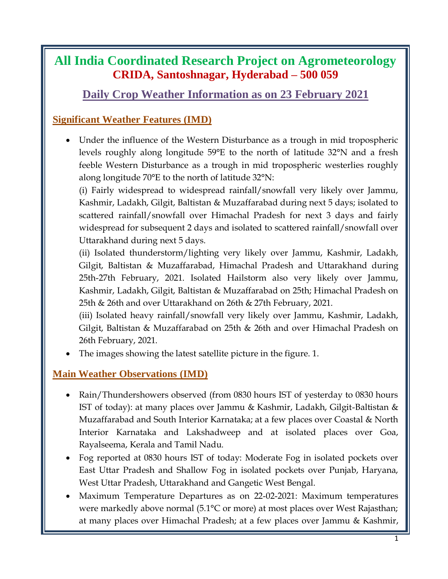## **All India Coordinated Research Project on Agrometeorology CRIDA, Santoshnagar, Hyderabad – 500 059**

## **Daily Crop Weather Information as on 23 February 2021**

## **Significant Weather Features (IMD)**

 Under the influence of the Western Disturbance as a trough in mid tropospheric levels roughly along longitude 59°E to the north of latitude 32°N and a fresh feeble Western Disturbance as a trough in mid tropospheric westerlies roughly along longitude 70°E to the north of latitude 32°N:

(i) Fairly widespread to widespread rainfall/snowfall very likely over Jammu, Kashmir, Ladakh, Gilgit, Baltistan & Muzaffarabad during next 5 days; isolated to scattered rainfall/snowfall over Himachal Pradesh for next 3 days and fairly widespread for subsequent 2 days and isolated to scattered rainfall/snowfall over Uttarakhand during next 5 days.

(ii) Isolated thunderstorm/lighting very likely over Jammu, Kashmir, Ladakh, Gilgit, Baltistan & Muzaffarabad, Himachal Pradesh and Uttarakhand during 25th-27th February, 2021. Isolated Hailstorm also very likely over Jammu, Kashmir, Ladakh, Gilgit, Baltistan & Muzaffarabad on 25th; Himachal Pradesh on 25th & 26th and over Uttarakhand on 26th & 27th February, 2021.

(iii) Isolated heavy rainfall/snowfall very likely over Jammu, Kashmir, Ladakh, Gilgit, Baltistan & Muzaffarabad on 25th & 26th and over Himachal Pradesh on 26th February, 2021.

The images showing the latest satellite picture in the figure. 1.

### **Main Weather Observations (IMD)**

- Rain/Thundershowers observed (from 0830 hours IST of yesterday to 0830 hours IST of today): at many places over Jammu & Kashmir, Ladakh, Gilgit-Baltistan & Muzaffarabad and South Interior Karnataka; at a few places over Coastal & North Interior Karnataka and Lakshadweep and at isolated places over Goa, Rayalseema, Kerala and Tamil Nadu.
- Fog reported at 0830 hours IST of today: Moderate Fog in isolated pockets over East Uttar Pradesh and Shallow Fog in isolated pockets over Punjab, Haryana, West Uttar Pradesh, Uttarakhand and Gangetic West Bengal.
- Maximum Temperature Departures as on 22-02-2021: Maximum temperatures were markedly above normal (5.1°C or more) at most places over West Rajasthan; at many places over Himachal Pradesh; at a few places over Jammu & Kashmir,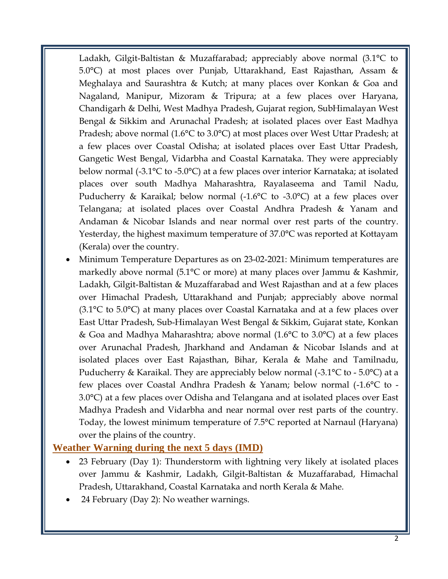Ladakh, Gilgit-Baltistan & Muzaffarabad; appreciably above normal (3.1°C to 5.0°C) at most places over Punjab, Uttarakhand, East Rajasthan, Assam & Meghalaya and Saurashtra & Kutch; at many places over Konkan & Goa and Nagaland, Manipur, Mizoram & Tripura; at a few places over Haryana, Chandigarh & Delhi, West Madhya Pradesh, Gujarat region, SubHimalayan West Bengal & Sikkim and Arunachal Pradesh; at isolated places over East Madhya Pradesh; above normal (1.6°C to 3.0°C) at most places over West Uttar Pradesh; at a few places over Coastal Odisha; at isolated places over East Uttar Pradesh, Gangetic West Bengal, Vidarbha and Coastal Karnataka. They were appreciably below normal (-3.1°C to -5.0°C) at a few places over interior Karnataka; at isolated places over south Madhya Maharashtra, Rayalaseema and Tamil Nadu, Puducherry & Karaikal; below normal (-1.6°C to -3.0°C) at a few places over Telangana; at isolated places over Coastal Andhra Pradesh & Yanam and Andaman & Nicobar Islands and near normal over rest parts of the country. Yesterday, the highest maximum temperature of 37.0°C was reported at Kottayam (Kerala) over the country.

 Minimum Temperature Departures as on 23-02-2021: Minimum temperatures are markedly above normal (5.1°C or more) at many places over Jammu & Kashmir, Ladakh, Gilgit-Baltistan & Muzaffarabad and West Rajasthan and at a few places over Himachal Pradesh, Uttarakhand and Punjab; appreciably above normal (3.1°C to 5.0°C) at many places over Coastal Karnataka and at a few places over East Uttar Pradesh, Sub-Himalayan West Bengal & Sikkim, Gujarat state, Konkan & Goa and Madhya Maharashtra; above normal (1.6°C to 3.0°C) at a few places over Arunachal Pradesh, Jharkhand and Andaman & Nicobar Islands and at isolated places over East Rajasthan, Bihar, Kerala & Mahe and Tamilnadu, Puducherry & Karaikal. They are appreciably below normal (-3.1°C to - 5.0°C) at a few places over Coastal Andhra Pradesh & Yanam; below normal (-1.6°C to - 3.0°C) at a few places over Odisha and Telangana and at isolated places over East Madhya Pradesh and Vidarbha and near normal over rest parts of the country. Today, the lowest minimum temperature of 7.5°C reported at Narnaul (Haryana) over the plains of the country.

#### **Weather Warning during the next 5 days (IMD)**

- 23 February (Day 1): Thunderstorm with lightning very likely at isolated places over Jammu & Kashmir, Ladakh, Gilgit-Baltistan & Muzaffarabad, Himachal Pradesh, Uttarakhand, Coastal Karnataka and north Kerala & Mahe.
- 24 February (Day 2): No weather warnings.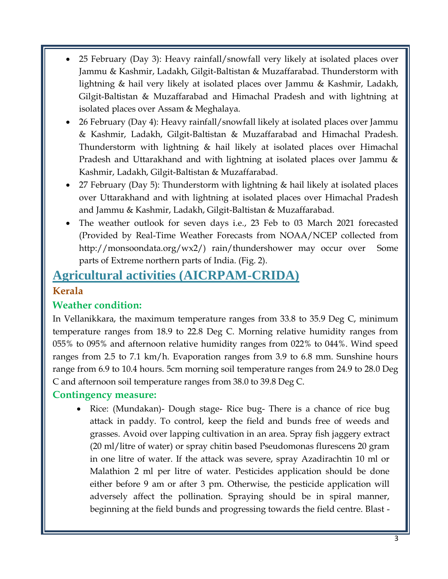- 25 February (Day 3): Heavy rainfall/snowfall very likely at isolated places over Jammu & Kashmir, Ladakh, Gilgit-Baltistan & Muzaffarabad. Thunderstorm with lightning & hail very likely at isolated places over Jammu & Kashmir, Ladakh, Gilgit-Baltistan & Muzaffarabad and Himachal Pradesh and with lightning at isolated places over Assam & Meghalaya.
- 26 February (Day 4): Heavy rainfall/snowfall likely at isolated places over Jammu & Kashmir, Ladakh, Gilgit-Baltistan & Muzaffarabad and Himachal Pradesh. Thunderstorm with lightning & hail likely at isolated places over Himachal Pradesh and Uttarakhand and with lightning at isolated places over Jammu & Kashmir, Ladakh, Gilgit-Baltistan & Muzaffarabad.
- 27 February (Day 5): Thunderstorm with lightning & hail likely at isolated places over Uttarakhand and with lightning at isolated places over Himachal Pradesh and Jammu & Kashmir, Ladakh, Gilgit-Baltistan & Muzaffarabad.
- The weather outlook for seven days i.e., 23 Feb to 03 March 2021 forecasted (Provided by Real-Time Weather Forecasts from NOAA/NCEP collected from http://monsoondata.org/wx2/) rain/thundershower may occur over Some parts of Extreme northern parts of India. (Fig. 2).

# **Agricultural activities (AICRPAM-CRIDA) Kerala**

## **Weather condition:**

In Vellanikkara, the maximum temperature ranges from 33.8 to 35.9 Deg C, minimum temperature ranges from 18.9 to 22.8 Deg C. Morning relative humidity ranges from 055% to 095% and afternoon relative humidity ranges from 022% to 044%. Wind speed ranges from 2.5 to 7.1 km/h. Evaporation ranges from 3.9 to 6.8 mm. Sunshine hours range from 6.9 to 10.4 hours. 5cm morning soil temperature ranges from 24.9 to 28.0 Deg C and afternoon soil temperature ranges from 38.0 to 39.8 Deg C.

### **Contingency measure:**

• Rice: (Mundakan)- Dough stage- Rice bug- There is a chance of rice bug attack in paddy. To control, keep the field and bunds free of weeds and grasses. Avoid over lapping cultivation in an area. Spray fish jaggery extract (20 ml/litre of water) or spray chitin based Pseudomonas flurescens 20 gram in one litre of water. If the attack was severe, spray Azadirachtin 10 ml or Malathion 2 ml per litre of water. Pesticides application should be done either before 9 am or after 3 pm. Otherwise, the pesticide application will adversely affect the pollination. Spraying should be in spiral manner, beginning at the field bunds and progressing towards the field centre. Blast -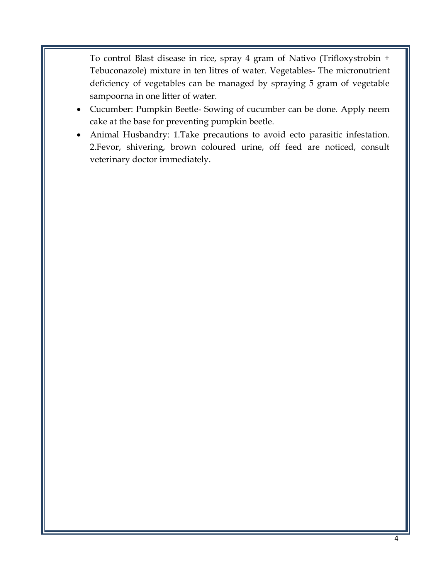To control Blast disease in rice, spray 4 gram of Nativo (Trifloxystrobin + Tebuconazole) mixture in ten litres of water. Vegetables- The micronutrient deficiency of vegetables can be managed by spraying 5 gram of vegetable sampoorna in one litter of water.

- Cucumber: Pumpkin Beetle- Sowing of cucumber can be done. Apply neem cake at the base for preventing pumpkin beetle.
- Animal Husbandry: 1.Take precautions to avoid ecto parasitic infestation. 2.Fevor, shivering, brown coloured urine, off feed are noticed, consult veterinary doctor immediately.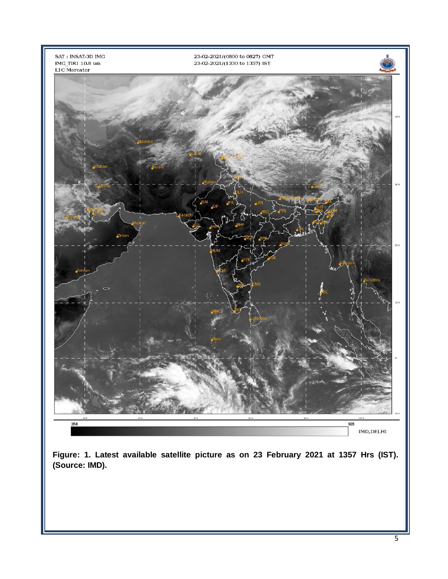

**Figure: 1. Latest available satellite picture as on 23 February 2021 at 1357 Hrs (IST). (Source: IMD).**